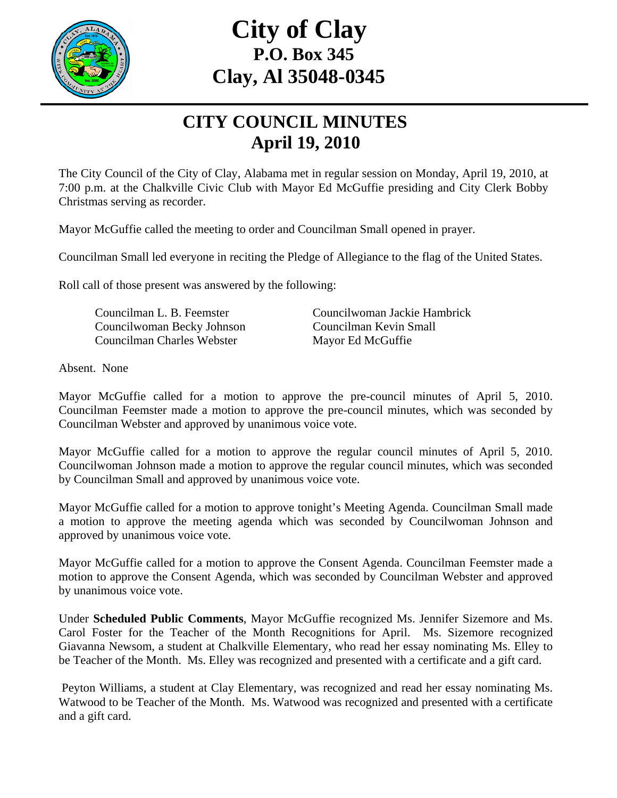

## **City of Clay P.O. Box 345 Clay, Al 35048-0345**

## **CITY COUNCIL MINUTES April 19, 2010**

The City Council of the City of Clay, Alabama met in regular session on Monday, April 19, 2010, at 7:00 p.m. at the Chalkville Civic Club with Mayor Ed McGuffie presiding and City Clerk Bobby Christmas serving as recorder.

Mayor McGuffie called the meeting to order and Councilman Small opened in prayer.

Councilman Small led everyone in reciting the Pledge of Allegiance to the flag of the United States.

Roll call of those present was answered by the following:

 Councilwoman Becky Johnson Councilman Kevin Small Councilman Charles Webster Mayor Ed McGuffie

Councilman L. B. Feemster Councilwoman Jackie Hambrick

Absent. None

Mayor McGuffie called for a motion to approve the pre-council minutes of April 5, 2010. Councilman Feemster made a motion to approve the pre-council minutes, which was seconded by Councilman Webster and approved by unanimous voice vote.

Mayor McGuffie called for a motion to approve the regular council minutes of April 5, 2010. Councilwoman Johnson made a motion to approve the regular council minutes, which was seconded by Councilman Small and approved by unanimous voice vote.

Mayor McGuffie called for a motion to approve tonight's Meeting Agenda. Councilman Small made a motion to approve the meeting agenda which was seconded by Councilwoman Johnson and approved by unanimous voice vote.

Mayor McGuffie called for a motion to approve the Consent Agenda. Councilman Feemster made a motion to approve the Consent Agenda, which was seconded by Councilman Webster and approved by unanimous voice vote.

Under **Scheduled Public Comments**, Mayor McGuffie recognized Ms. Jennifer Sizemore and Ms. Carol Foster for the Teacher of the Month Recognitions for April. Ms. Sizemore recognized Giavanna Newsom, a student at Chalkville Elementary, who read her essay nominating Ms. Elley to be Teacher of the Month. Ms. Elley was recognized and presented with a certificate and a gift card.

 Peyton Williams, a student at Clay Elementary, was recognized and read her essay nominating Ms. Watwood to be Teacher of the Month. Ms. Watwood was recognized and presented with a certificate and a gift card.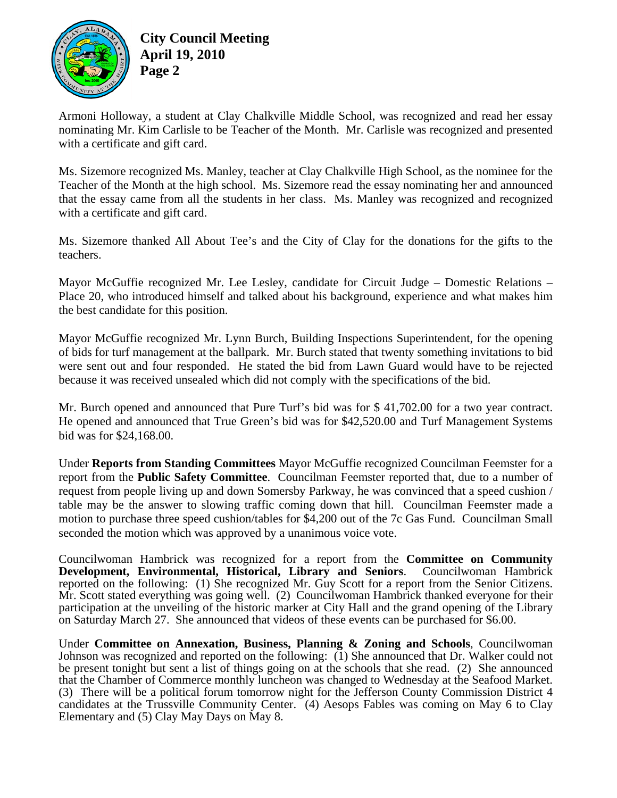

Armoni Holloway, a student at Clay Chalkville Middle School, was recognized and read her essay nominating Mr. Kim Carlisle to be Teacher of the Month. Mr. Carlisle was recognized and presented with a certificate and gift card.

Ms. Sizemore recognized Ms. Manley, teacher at Clay Chalkville High School, as the nominee for the Teacher of the Month at the high school. Ms. Sizemore read the essay nominating her and announced that the essay came from all the students in her class. Ms. Manley was recognized and recognized with a certificate and gift card.

Ms. Sizemore thanked All About Tee's and the City of Clay for the donations for the gifts to the teachers.

Mayor McGuffie recognized Mr. Lee Lesley, candidate for Circuit Judge – Domestic Relations – Place 20, who introduced himself and talked about his background, experience and what makes him the best candidate for this position.

Mayor McGuffie recognized Mr. Lynn Burch, Building Inspections Superintendent, for the opening of bids for turf management at the ballpark. Mr. Burch stated that twenty something invitations to bid were sent out and four responded. He stated the bid from Lawn Guard would have to be rejected because it was received unsealed which did not comply with the specifications of the bid.

Mr. Burch opened and announced that Pure Turf's bid was for \$ 41,702.00 for a two year contract. He opened and announced that True Green's bid was for \$42,520.00 and Turf Management Systems bid was for \$24,168.00.

Under **Reports from Standing Committees** Mayor McGuffie recognized Councilman Feemster for a report from the **Public Safety Committee**. Councilman Feemster reported that, due to a number of request from people living up and down Somersby Parkway, he was convinced that a speed cushion / table may be the answer to slowing traffic coming down that hill. Councilman Feemster made a motion to purchase three speed cushion/tables for \$4,200 out of the 7c Gas Fund. Councilman Small seconded the motion which was approved by a unanimous voice vote.

Councilwoman Hambrick was recognized for a report from the **Committee on Community**  Development, Environmental, Historical, Library and Seniors. reported on the following: (1) She recognized Mr. Guy Scott for a report from the Senior Citizens. Mr. Scott stated everything was going well. (2) Councilwoman Hambrick thanked everyone for their participation at the unveiling of the historic marker at City Hall and the grand opening of the Library on Saturday March 27. She announced that videos of these events can be purchased for \$6.00.

Under **Committee on Annexation, Business, Planning & Zoning and Schools**, Councilwoman Johnson was recognized and reported on the following: (1) She announced that Dr. Walker could not be present tonight but sent a list of things going on at the schools that she read. (2) She announced that the Chamber of Commerce monthly luncheon was changed to Wednesday at the Seafood Market. (3) There will be a political forum tomorrow night for the Jefferson County Commission District 4 candidates at the Trussville Community Center. (4) Aesops Fables was coming on May 6 to Clay Elementary and (5) Clay May Days on May 8.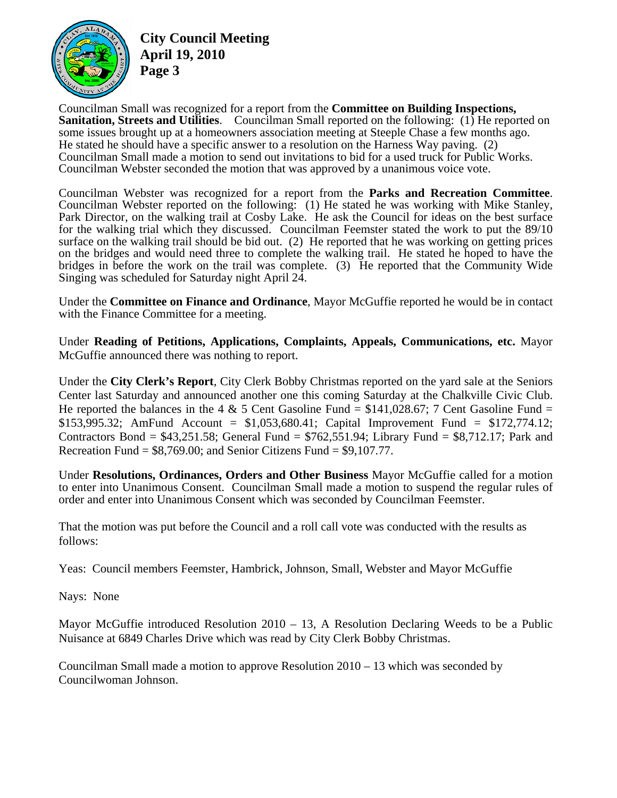

**City Council Meeting April 19, 2010 Page 3** 

Councilman Small was recognized for a report from the **Committee on Building Inspections, Sanitation, Streets and Utilities**. Councilman Small reported on the following: (1) He reported on some issues brought up at a homeowners association meeting at Steeple Chase a few months ago. He stated he should have a specific answer to a resolution on the Harness Way paving. (2) Councilman Small made a motion to send out invitations to bid for a used truck for Public Works. Councilman Webster seconded the motion that was approved by a unanimous voice vote.

Councilman Webster was recognized for a report from the **Parks and Recreation Committee**. Councilman Webster reported on the following: (1) He stated he was working with Mike Stanley, Park Director, on the walking trail at Cosby Lake. He ask the Council for ideas on the best surface for the walking trial which they discussed. Councilman Feemster stated the work to put the 89/10 surface on the walking trail should be bid out. (2) He reported that he was working on getting prices on the bridges and would need three to complete the walking trail. He stated he hoped to have the bridges in before the work on the trail was complete. (3) He reported that the Community Wide Singing was scheduled for Saturday night April 24.

Under the **Committee on Finance and Ordinance**, Mayor McGuffie reported he would be in contact with the Finance Committee for a meeting.

Under **Reading of Petitions, Applications, Complaints, Appeals, Communications, etc.** Mayor McGuffie announced there was nothing to report.

Under the **City Clerk's Report**, City Clerk Bobby Christmas reported on the yard sale at the Seniors Center last Saturday and announced another one this coming Saturday at the Chalkville Civic Club. He reported the balances in the 4 & 5 Cent Gasoline Fund =  $$141,028.67$ ; 7 Cent Gasoline Fund = \$153,995.32; AmFund Account = \$1,053,680.41; Capital Improvement Fund = \$172,774.12; Contractors Bond =  $$43,251.58$ ; General Fund =  $$762,551.94$ ; Library Fund =  $$8,712.17$ ; Park and Recreation Fund  $= $8,769.00$ ; and Senior Citizens Fund  $= $9,107.77$ .

Under **Resolutions, Ordinances, Orders and Other Business** Mayor McGuffie called for a motion to enter into Unanimous Consent. Councilman Small made a motion to suspend the regular rules of order and enter into Unanimous Consent which was seconded by Councilman Feemster.

That the motion was put before the Council and a roll call vote was conducted with the results as follows:

Yeas: Council members Feemster, Hambrick, Johnson, Small, Webster and Mayor McGuffie

Nays: None

Mayor McGuffie introduced Resolution  $2010 - 13$ , A Resolution Declaring Weeds to be a Public Nuisance at 6849 Charles Drive which was read by City Clerk Bobby Christmas.

Councilman Small made a motion to approve Resolution 2010 – 13 which was seconded by Councilwoman Johnson.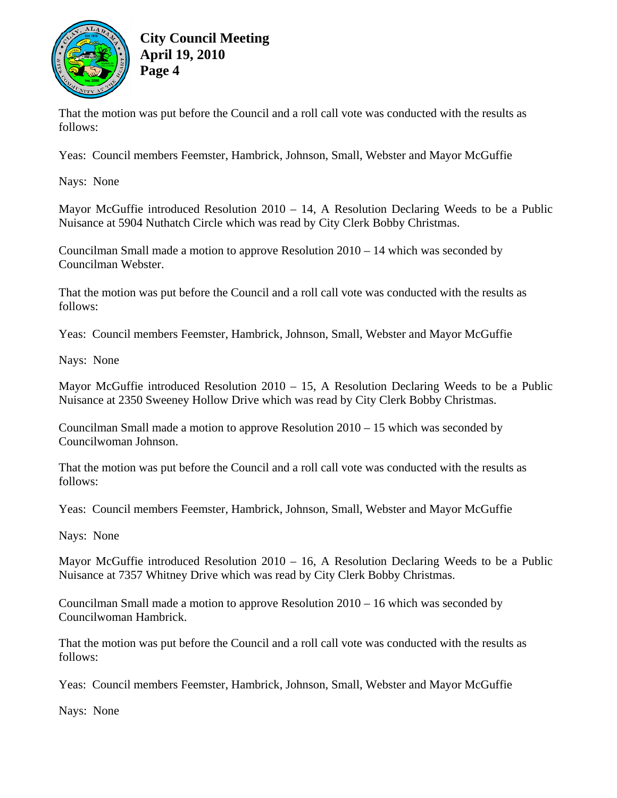

That the motion was put before the Council and a roll call vote was conducted with the results as follows:

Yeas: Council members Feemster, Hambrick, Johnson, Small, Webster and Mayor McGuffie

Nays: None

Mayor McGuffie introduced Resolution 2010 – 14, A Resolution Declaring Weeds to be a Public Nuisance at 5904 Nuthatch Circle which was read by City Clerk Bobby Christmas.

Councilman Small made a motion to approve Resolution 2010 – 14 which was seconded by Councilman Webster.

That the motion was put before the Council and a roll call vote was conducted with the results as follows:

Yeas: Council members Feemster, Hambrick, Johnson, Small, Webster and Mayor McGuffie

Nays: None

Mayor McGuffie introduced Resolution  $2010 - 15$ , A Resolution Declaring Weeds to be a Public Nuisance at 2350 Sweeney Hollow Drive which was read by City Clerk Bobby Christmas.

Councilman Small made a motion to approve Resolution 2010 – 15 which was seconded by Councilwoman Johnson.

That the motion was put before the Council and a roll call vote was conducted with the results as follows:

Yeas: Council members Feemster, Hambrick, Johnson, Small, Webster and Mayor McGuffie

Nays: None

Mayor McGuffie introduced Resolution  $2010 - 16$ , A Resolution Declaring Weeds to be a Public Nuisance at 7357 Whitney Drive which was read by City Clerk Bobby Christmas.

Councilman Small made a motion to approve Resolution 2010 – 16 which was seconded by Councilwoman Hambrick.

That the motion was put before the Council and a roll call vote was conducted with the results as follows:

Yeas: Council members Feemster, Hambrick, Johnson, Small, Webster and Mayor McGuffie

Nays: None